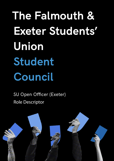**The Falmouth & Exeter Students' Union Student Council**

SU Open Officer (Exeter) Role Descriptor

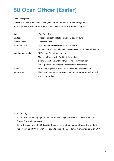## **SU Open Officer (Exeter)**

## Short Description:

You will be working with SU Presidents, SU staff, and the Exeter student rep system, to make improvements to the experience of all Exeter students on Cornwall campuses.

| Status:            | Part-Time Officer                                                      |
|--------------------|------------------------------------------------------------------------|
| Elected:           | By secret ballot by all Falmouth and Exeter students                   |
| Term of Office:    | 1 Academic Year                                                        |
| Accountable to:    | The student body via SU Board of Trustees, SU                          |
|                    | Student Council, Annual General Meeting and Union General Meetings     |
| Member of/attends: | SU Student Council (twice a term                                       |
|                    | Manifesto Update with President, Exeter (twice                         |
|                    | a term, at least once with SU Student Voice staff member)              |
|                    | Other groups or meetings as appropriate and mandated                   |
| Hours:             | As the role requires and can be flexible dependent on studies.         |
| Remuneration:      | This is a voluntary role, however, out of pocket expenses will be paid |
|                    | where appropriate.                                                     |

Role Summary:

- To represent and campaign on the student learning experience within University of Exeter Cornwall campuses;
- To work closely with the SU President Exeter, other SU education officers, the student rep system, and SU Student Voice staff, to strengthen academic representation within SU.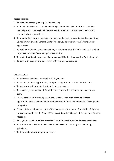Responsibilities:

- 1. To attend all meetings as required by the role;
- 2. To maintain an awareness of and encourage student involvement in NUS academic campaigns and other regional, national and international campaigns of relevance to students where appropriate;
- 3. To attend other relevant meetings and make contact with appropriate colleagues within Exeter University and Falmouth Exeter Plus as well as external organisations where appropriate;
- 4. To work with SU colleagues in developing relations with the Students' Guild and student reps based at other Exeter campuses and online;
- 5. To work with SU colleagues to deliver on agreed SU priorities regarding Exeter Students;
- 6. To liaise with, support and be involved with relevant SU societies

## General Duties:

- 1. To undertake training as required to fulfil your role;
- 2. To conduct yourself appropriately as a public representative of students and SU.
- 3. To make yourself known to the students you represent;
- 4. To effectively communicate information and plans with relevant members of the SU team;
- 5. Ensure that SU policies and procedures are adhered to at all times, and where appropriate, make recommendations and contribute to the amendment or development of a policy;
- 6. Carry out duties within the scope of the role as set out in the SU Constitution & By-laws or as mandated by the SU Board of Trustees, SU Student Council, Referenda and General Meetings;
- 7. To regularly provide a written report to the SU Student Council on duties undertaken;
- 8. To promote SU and student involvement in line with SU branding and marketing guidelines;
- 9. To deliver a handover for your successor;